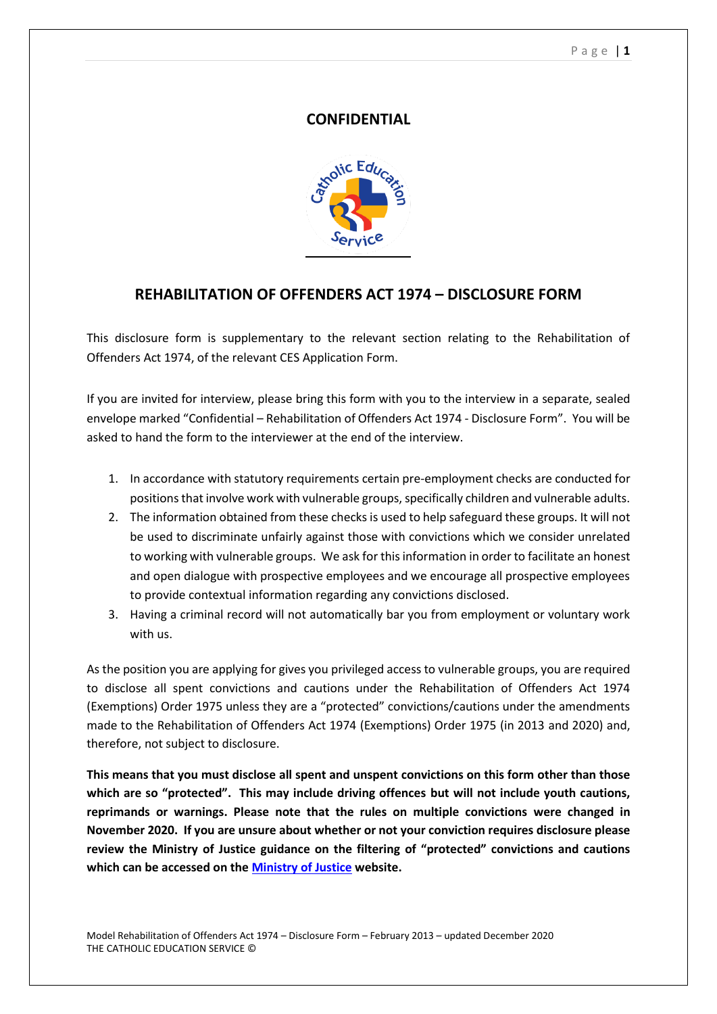## **CONFIDENTIAL**



# **REHABILITATION OF OFFENDERS ACT 1974 – DISCLOSURE FORM**

This disclosure form is supplementary to the relevant section relating to the Rehabilitation of Offenders Act 1974, of the relevant CES Application Form.

If you are invited for interview, please bring this form with you to the interview in a separate, sealed envelope marked "Confidential – Rehabilitation of Offenders Act 1974 - Disclosure Form". You will be asked to hand the form to the interviewer at the end of the interview.

- 1. In accordance with statutory requirements certain pre-employment checks are conducted for positions that involve work with vulnerable groups, specifically children and vulnerable adults.
- 2. The information obtained from these checks is used to help safeguard these groups. It will not be used to discriminate unfairly against those with convictions which we consider unrelated to working with vulnerable groups. We ask for this information in order to facilitate an honest and open dialogue with prospective employees and we encourage all prospective employees to provide contextual information regarding any convictions disclosed.
- 3. Having a criminal record will not automatically bar you from employment or voluntary work with us.

As the position you are applying for gives you privileged access to vulnerable groups, you are required to disclose all spent convictions and cautions under the Rehabilitation of Offenders Act 1974 (Exemptions) Order 1975 unless they are a "protected" convictions/cautions under the amendments made to the Rehabilitation of Offenders Act 1974 (Exemptions) Order 1975 (in 2013 and 2020) and, therefore, not subject to disclosure.

**This means that you must disclose all spent and unspent convictions on this form other than those which are so "protected". This may include driving offences but will not include youth cautions, reprimands or warnings. Please note that the rules on multiple convictions were changed in November 2020. If you are unsure about whether or not your conviction requires disclosure please review the Ministry of Justice guidance on the filtering of "protected" convictions and cautions which can be accessed on the [Ministry of Justice](https://www.gov.uk/government/publications/new-guidance-on-the-rehabilitation-of-offenders-act-1974) website.**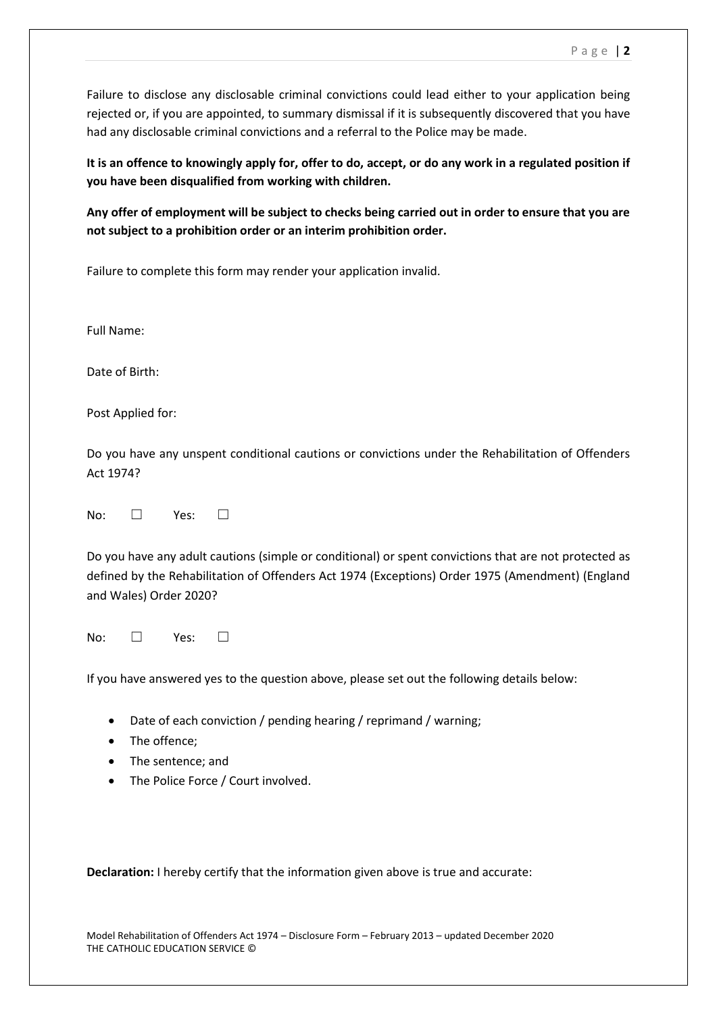Failure to disclose any disclosable criminal convictions could lead either to your application being rejected or, if you are appointed, to summary dismissal if it is subsequently discovered that you have had any disclosable criminal convictions and a referral to the Police may be made.

**It is an offence to knowingly apply for, offer to do, accept, or do any work in a regulated position if you have been disqualified from working with children.** 

**Any offer of employment will be subject to checks being carried out in order to ensure that you are not subject to a prohibition order or an interim prohibition order.**

Failure to complete this form may render your application invalid.

Full Name:

Date of Birth:

Post Applied for:

Do you have any unspent conditional cautions or convictions under the Rehabilitation of Offenders Act 1974?

No: □ Yes: □

Do you have any adult cautions (simple or conditional) or spent convictions that are not protected as defined by the Rehabilitation of Offenders Act 1974 (Exceptions) Order 1975 (Amendment) (England and Wales) Order 2020?

No: □ Yes: □

If you have answered yes to the question above, please set out the following details below:

- Date of each conviction / pending hearing / reprimand / warning;
- The offence;
- The sentence; and
- The Police Force / Court involved.

**Declaration:** I hereby certify that the information given above is true and accurate:

Model Rehabilitation of Offenders Act 1974 – Disclosure Form – February 2013 – updated December 2020 THE CATHOLIC EDUCATION SERVICE ©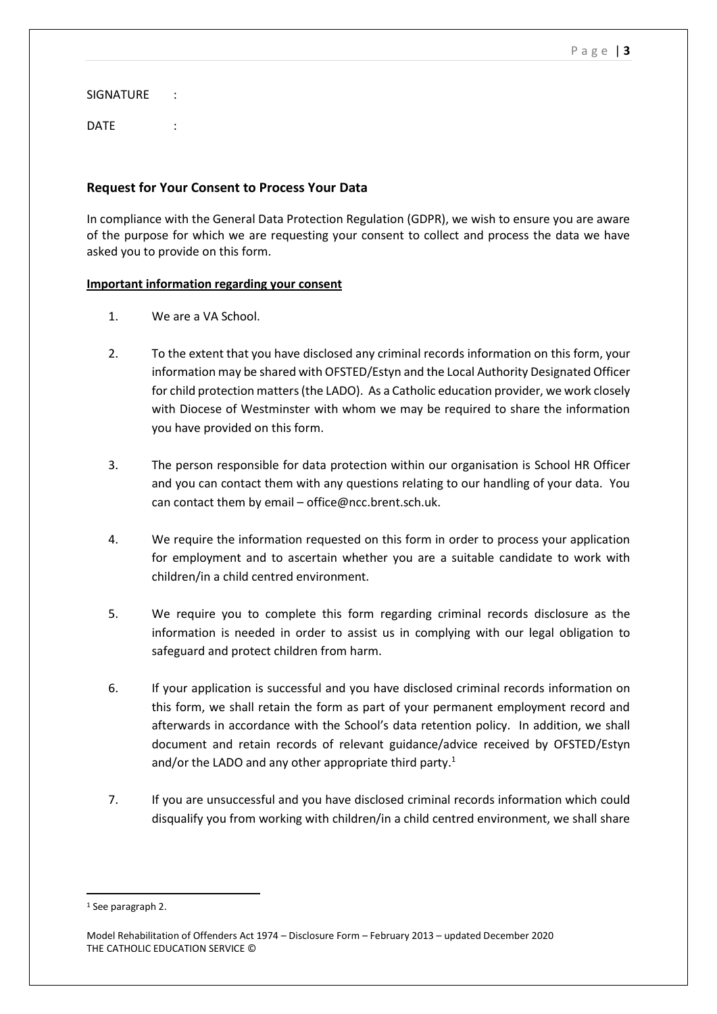SIGNATURE : DATE:

#### **Request for Your Consent to Process Your Data**

In compliance with the General Data Protection Regulation (GDPR), we wish to ensure you are aware of the purpose for which we are requesting your consent to collect and process the data we have asked you to provide on this form.

#### **Important information regarding your consent**

- 1. We are a VA School.
- 2. To the extent that you have disclosed any criminal records information on this form, your information may be shared with OFSTED/Estyn and the Local Authority Designated Officer for child protection matters (the LADO). As a Catholic education provider, we work closely with Diocese of Westminster with whom we may be required to share the information you have provided on this form.
- 3. The person responsible for data protection within our organisation is School HR Officer and you can contact them with any questions relating to our handling of your data. You can contact them by email – office@ncc.brent.sch.uk.
- 4. We require the information requested on this form in order to process your application for employment and to ascertain whether you are a suitable candidate to work with children/in a child centred environment.
- 5. We require you to complete this form regarding criminal records disclosure as the information is needed in order to assist us in complying with our legal obligation to safeguard and protect children from harm.
- 6. If your application is successful and you have disclosed criminal records information on this form, we shall retain the form as part of your permanent employment record and afterwards in accordance with the School's data retention policy. In addition, we shall document and retain records of relevant guidance/advice received by OFSTED/Estyn and/or the LADO and any other appropriate third party.<sup>1</sup>
- 7. If you are unsuccessful and you have disclosed criminal records information which could disqualify you from working with children/in a child centred environment, we shall share

1

<sup>&</sup>lt;sup>1</sup> See paragraph 2.

Model Rehabilitation of Offenders Act 1974 – Disclosure Form – February 2013 – updated December 2020 THE CATHOLIC EDUCATION SERVICE ©